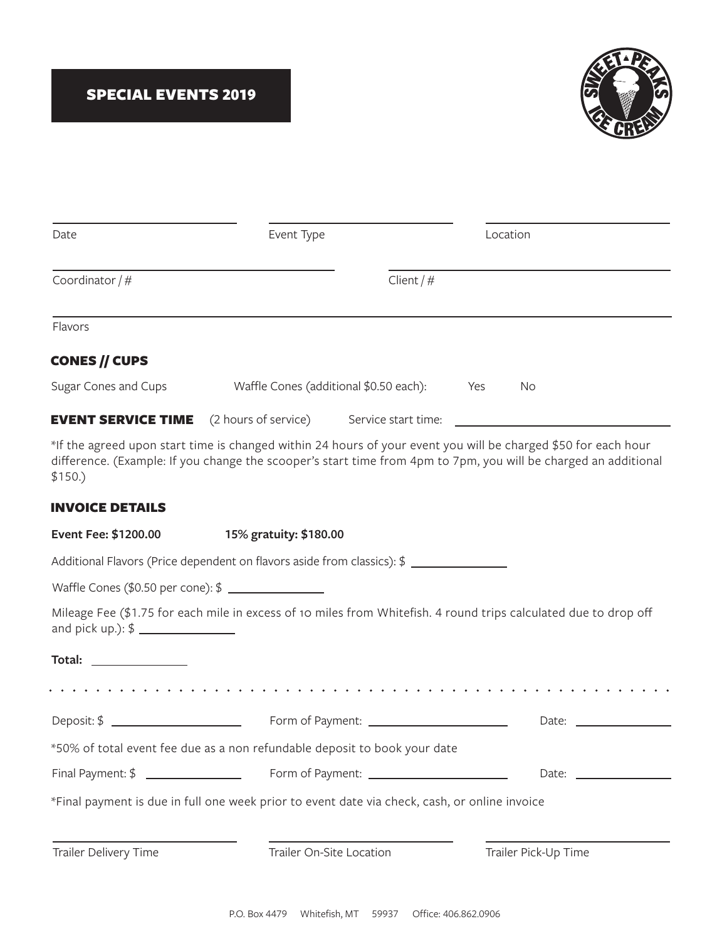

| Date                                              | Event Type                                                                                                                                                                                                                        | Location     |                      |
|---------------------------------------------------|-----------------------------------------------------------------------------------------------------------------------------------------------------------------------------------------------------------------------------------|--------------|----------------------|
|                                                   |                                                                                                                                                                                                                                   |              |                      |
| Coordinator $/$ #                                 |                                                                                                                                                                                                                                   | Client $/$ # |                      |
| Flavors                                           |                                                                                                                                                                                                                                   |              |                      |
| <b>CONES // CUPS</b>                              |                                                                                                                                                                                                                                   |              |                      |
| Sugar Cones and Cups                              | Waffle Cones (additional \$0.50 each):                                                                                                                                                                                            | Yes          | No                   |
|                                                   | <b>EVENT SERVICE TIME</b> (2 hours of service) Service start time:                                                                                                                                                                |              |                      |
| \$150.)                                           | *If the agreed upon start time is changed within 24 hours of your event you will be charged \$50 for each hour<br>difference. (Example: If you change the scooper's start time from 4pm to 7pm, you will be charged an additional |              |                      |
| <b>INVOICE DETAILS</b>                            |                                                                                                                                                                                                                                   |              |                      |
| Event Fee: \$1200.00                              | 15% gratuity: \$180.00                                                                                                                                                                                                            |              |                      |
|                                                   | Additional Flavors (Price dependent on flavors aside from classics): \$ ________________                                                                                                                                          |              |                      |
| Waffle Cones (\$0.50 per cone): \$ \\ \\end{math} |                                                                                                                                                                                                                                   |              |                      |
|                                                   | Mileage Fee (\$1.75 for each mile in excess of 10 miles from Whitefish. 4 round trips calculated due to drop off                                                                                                                  |              |                      |
| Total:                                            |                                                                                                                                                                                                                                   |              |                      |
|                                                   | .                                                                                                                                                                                                                                 |              |                      |
|                                                   | Form of Payment: _________________________                                                                                                                                                                                        |              | Date:                |
|                                                   | *50% of total event fee due as a non refundable deposit to book your date                                                                                                                                                         |              |                      |
| Final Payment: \$ ________________                |                                                                                                                                                                                                                                   |              |                      |
|                                                   | *Final payment is due in full one week prior to event date via check, cash, or online invoice                                                                                                                                     |              |                      |
| Trailer Delivery Time                             | Trailer On-Site Location                                                                                                                                                                                                          |              | Trailer Pick-Up Time |